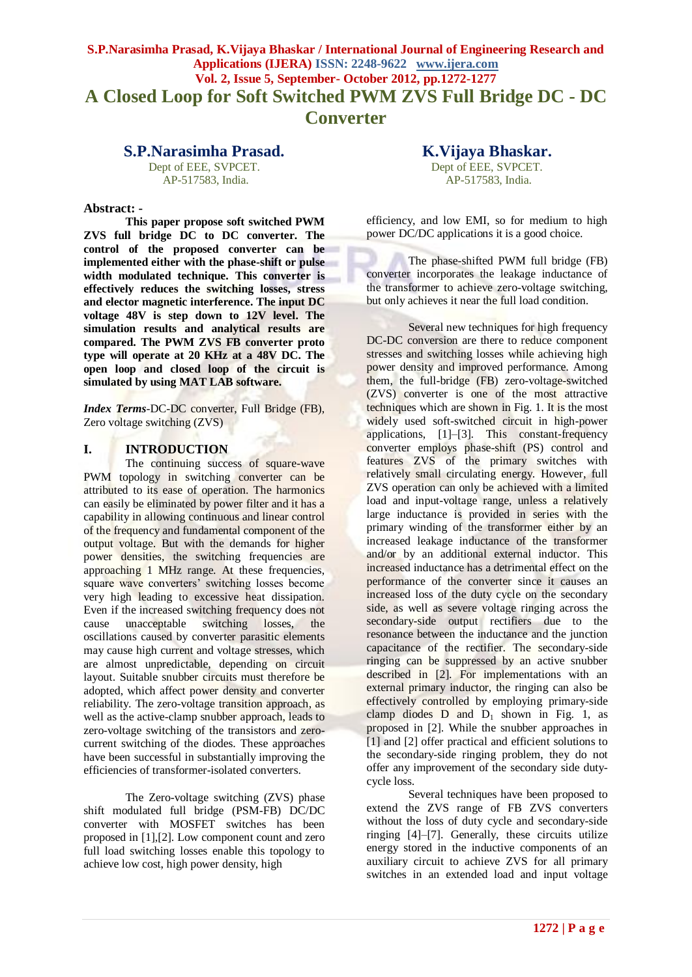## **S.P.Narasimha Prasad, K.Vijaya Bhaskar / International Journal of Engineering Research and Applications (IJERA) ISSN: 2248-9622 www.ijera.com Vol. 2, Issue 5, September- October 2012, pp.1272-1277 A Closed Loop for Soft Switched PWM ZVS Full Bridge DC - DC Converter**

### **S.P.Narasimha Prasad.**

Dept of EEE, SVPCET. AP-517583, India.

#### **Abstract: -**

**This paper propose soft switched PWM ZVS full bridge DC to DC converter. The control of the proposed converter can be implemented either with the phase-shift or pulse width modulated technique. This converter is effectively reduces the switching losses, stress and elector magnetic interference. The input DC voltage 48V is step down to 12V level. The simulation results and analytical results are compared. The PWM ZVS FB converter proto type will operate at 20 KHz at a 48V DC. The open loop and closed loop of the circuit is simulated by using MAT LAB software.**

*Index Terms-*DC-DC converter, Full Bridge (FB), Zero voltage switching (ZVS)

#### **I. INTRODUCTION**

The continuing success of square-wave PWM topology in switching converter can be attributed to its ease of operation. The harmonics can easily be eliminated by power filter and it has a capability in allowing continuous and linear control of the frequency and fundamental component of the output voltage. But with the demands for higher power densities, the switching frequencies are approaching 1 MHz range. At these frequencies, square wave converters' switching losses become very high leading to excessive heat dissipation. Even if the increased switching frequency does not cause unacceptable switching losses, the oscillations caused by converter parasitic elements may cause high current and voltage stresses, which are almost unpredictable, depending on circuit layout. Suitable snubber circuits must therefore be adopted, which affect power density and converter reliability. The zero-voltage transition approach, as well as the active-clamp snubber approach, leads to zero-voltage switching of the transistors and zerocurrent switching of the diodes. These approaches have been successful in substantially improving the efficiencies of transformer-isolated converters.

The Zero-voltage switching (ZVS) phase shift modulated full bridge (PSM-FB) DC/DC converter with MOSFET switches has been proposed in [1],[2]. Low component count and zero full load switching losses enable this topology to achieve low cost, high power density, high

# **K.Vijaya Bhaskar.**

Dept of EEE, SVPCET. AP-517583, India.

efficiency, and low EMI, so for medium to high power DC/DC applications it is a good choice.

The phase-shifted PWM full bridge (FB) converter incorporates the leakage inductance of the transformer to achieve zero-voltage switching, but only achieves it near the full load condition.

Several new techniques for high frequency DC-DC conversion are there to reduce component stresses and switching losses while achieving high power density and improved performance. Among them, the full-bridge (FB) zero-voltage-switched (ZVS) converter is one of the most attractive techniques which are shown in Fig. 1. It is the most widely used soft-switched circuit in high-power applications, [1]–[3]. This constant-frequency converter employs phase-shift (PS) control and features ZVS of the primary switches with relatively small circulating energy. However, full ZVS operation can only be achieved with a limited load and input-voltage range, unless a relatively large inductance is provided in series with the primary winding of the transformer either by an increased leakage inductance of the transformer and/or by an additional external inductor. This increased inductance has a detrimental effect on the performance of the converter since it causes an increased loss of the duty cycle on the secondary side, as well as severe voltage ringing across the secondary-side output rectifiers due to the resonance between the inductance and the junction capacitance of the rectifier. The secondary-side ringing can be suppressed by an active snubber described in [2]. For implementations with an external primary inductor, the ringing can also be effectively controlled by employing primary-side clamp diodes  $D$  and  $D_1$  shown in Fig. 1, as proposed in [2]. While the snubber approaches in [1] and [2] offer practical and efficient solutions to the secondary-side ringing problem, they do not offer any improvement of the secondary side dutycycle loss.

Several techniques have been proposed to extend the ZVS range of FB ZVS converters without the loss of duty cycle and secondary-side ringing [4]–[7]. Generally, these circuits utilize energy stored in the inductive components of an auxiliary circuit to achieve ZVS for all primary switches in an extended load and input voltage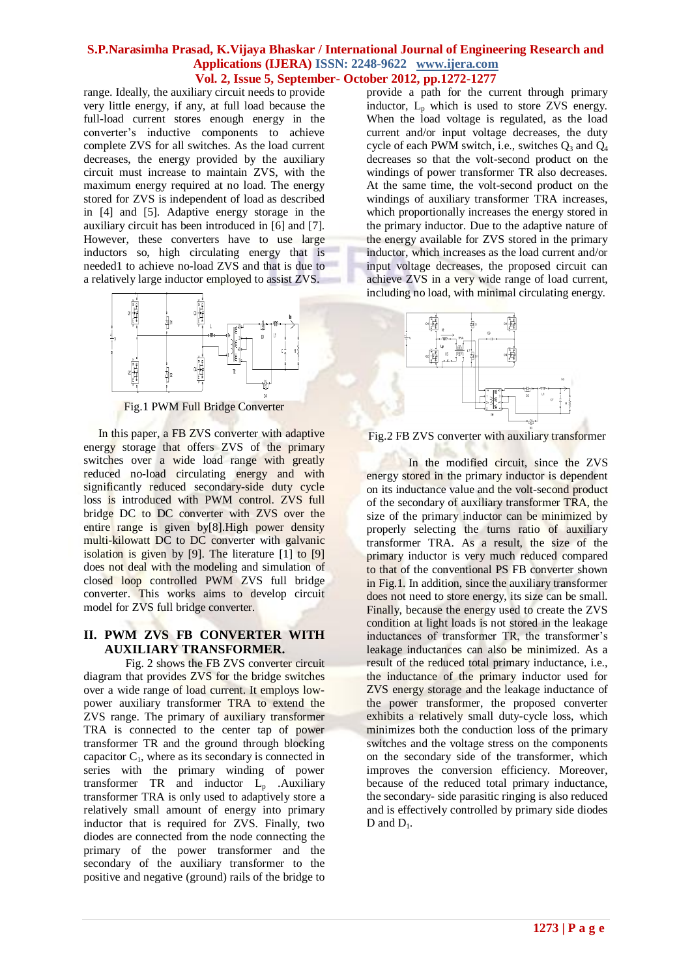range. Ideally, the auxiliary circuit needs to provide very little energy, if any, at full load because the full-load current stores enough energy in the converter's inductive components to achieve complete ZVS for all switches. As the load current decreases, the energy provided by the auxiliary circuit must increase to maintain ZVS, with the maximum energy required at no load. The energy stored for ZVS is independent of load as described in [4] and [5]. Adaptive energy storage in the auxiliary circuit has been introduced in [6] and [7]. However, these converters have to use large inductors so, high circulating energy that is needed1 to achieve no-load ZVS and that is due to a relatively large inductor employed to assist ZVS.



Fig.1 PWM Full Bridge Converter

 In this paper, a FB ZVS converter with adaptive energy storage that offers ZVS of the primary switches over a wide load range with greatly reduced no-load circulating energy and with significantly reduced secondary-side duty cycle loss is introduced with PWM control. ZVS full bridge DC to DC converter with ZVS over the entire range is given by[8].High power density multi-kilowatt DC to DC converter with galvanic isolation is given by [9]. The literature [1] to [9] does not deal with the modeling and simulation of closed loop controlled PWM ZVS full bridge converter. This works aims to develop circuit model for ZVS full bridge converter.

#### **II. PWM ZVS FB CONVERTER WITH AUXILIARY TRANSFORMER.**

Fig. 2 shows the FB ZVS converter circuit diagram that provides ZVS for the bridge switches over a wide range of load current. It employs lowpower auxiliary transformer TRA to extend the ZVS range. The primary of auxiliary transformer TRA is connected to the center tap of power transformer TR and the ground through blocking capacitor  $C_1$ , where as its secondary is connected in series with the primary winding of power transformer  $TR$  and inductor  $L<sub>p</sub>$  . Auxiliary transformer TRA is only used to adaptively store a relatively small amount of energy into primary inductor that is required for ZVS. Finally, two diodes are connected from the node connecting the primary of the power transformer and the secondary of the auxiliary transformer to the positive and negative (ground) rails of the bridge to provide a path for the current through primary inductor, L<sub>p</sub> which is used to store ZVS energy. When the load voltage is regulated, as the load current and/or input voltage decreases, the duty cycle of each PWM switch, i.e., switches  $Q_3$  and  $Q_4$ decreases so that the volt-second product on the windings of power transformer TR also decreases. At the same time, the volt-second product on the windings of auxiliary transformer TRA increases, which proportionally increases the energy stored in the primary inductor. Due to the adaptive nature of the energy available for ZVS stored in the primary inductor, which increases as the load current and/or input voltage decreases, the proposed circuit can achieve ZVS in a very wide range of load current, including no load, with minimal circulating energy.



Fig.2 FB ZVS converter with auxiliary transformer

In the modified circuit, since the ZVS energy stored in the primary inductor is dependent on its inductance value and the volt-second product of the secondary of auxiliary transformer TRA, the size of the primary inductor can be minimized by properly selecting the turns ratio of auxiliary transformer TRA. As a result, the size of the primary inductor is very much reduced compared to that of the conventional PS FB converter shown in Fig.1. In addition, since the auxiliary transformer does not need to store energy, its size can be small. Finally, because the energy used to create the ZVS condition at light loads is not stored in the leakage inductances of transformer TR, the transformer's leakage inductances can also be minimized. As a result of the reduced total primary inductance, i.e., the inductance of the primary inductor used for ZVS energy storage and the leakage inductance of the power transformer, the proposed converter exhibits a relatively small duty-cycle loss, which minimizes both the conduction loss of the primary switches and the voltage stress on the components on the secondary side of the transformer, which improves the conversion efficiency. Moreover, because of the reduced total primary inductance, the secondary- side parasitic ringing is also reduced and is effectively controlled by primary side diodes D and  $D_1$ .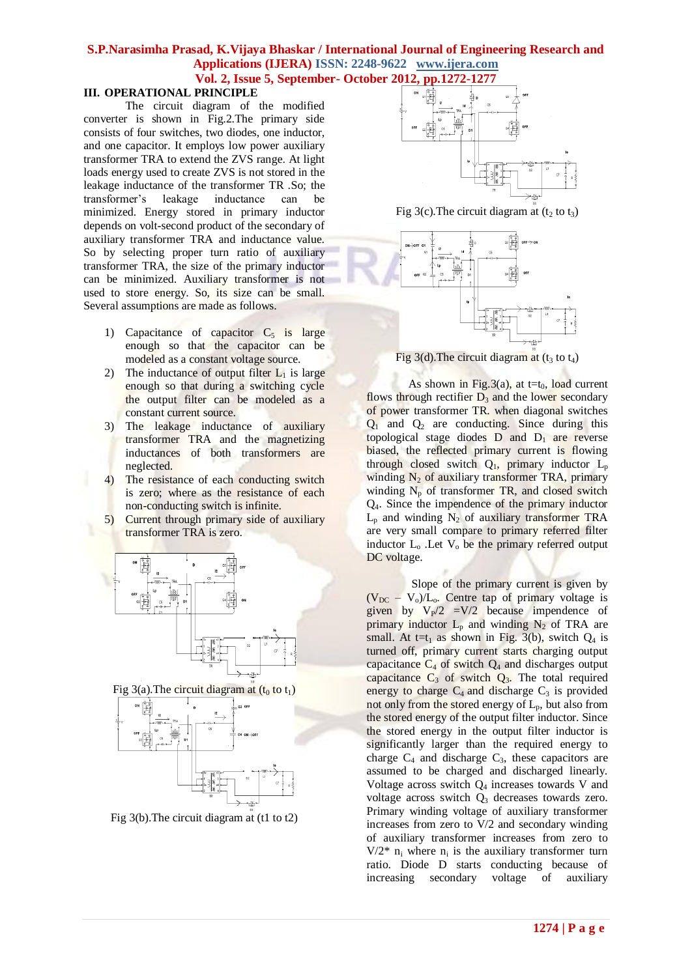#### **III. OPERATIONAL PRINCIPLE**

The circuit diagram of the modified converter is shown in Fig.2.The primary side consists of four switches, two diodes, one inductor, and one capacitor. It employs low power auxiliary transformer TRA to extend the ZVS range. At light loads energy used to create ZVS is not stored in the leakage inductance of the transformer TR .So; the transformer's leakage inductance can be minimized. Energy stored in primary inductor depends on volt-second product of the secondary of auxiliary transformer TRA and inductance value. So by selecting proper turn ratio of auxiliary transformer TRA, the size of the primary inductor can be minimized. Auxiliary transformer is not used to store energy. So, its size can be small. Several assumptions are made as follows.

- 1) Capacitance of capacitor  $C_5$  is large enough so that the capacitor can be modeled as a constant voltage source.
- 2) The inductance of output filter  $L_1$  is large enough so that during a switching cycle the output filter can be modeled as a constant current source.
- 3) The leakage inductance of auxiliary transformer TRA and the magnetizing inductances of both transformers are neglected.
- 4) The resistance of each conducting switch is zero; where as the resistance of each non-conducting switch is infinite.
- 5) Current through primary side of auxiliary transformer TRA is zero.



Fig 3(a). The circuit diagram at  $(t_0 \text{ to } t_1)$ 







Fig 3(c). The circuit diagram at  $(t_2 \text{ to } t_3)$ 



Fig  $3(d)$ . The circuit diagram at ( $t_3$  to  $t_4$ )

As shown in Fig.3(a), at t=t<sub>0</sub>, load current flows through rectifier  $D_3$  and the lower secondary of power transformer TR. when diagonal switches  $Q_1$  and  $Q_2$  are conducting. Since during this topological stage diodes  $D$  and  $D_1$  are reverse biased, the reflected primary current is flowing through closed switch  $Q_1$ , primary inductor  $L_p$ winding  $N_2$  of auxiliary transformer TRA, primary winding  $N_p$  of transformer TR, and closed switch Q4. Since the impendence of the primary inductor  $L_p$  and winding  $N_2$  of auxiliary transformer TRA are very small compare to primary referred filter inductor  $L_0$ . Let  $V_0$  be the primary referred output DC voltage.

Slope of the primary current is given by  $(V_{DC} - V_0)/L_0$ . Centre tap of primary voltage is given by  $V_P/2$  =V/2 because impendence of primary inductor  $L_p$  and winding  $N_2$  of TRA are small. At t=t<sub>1</sub> as shown in Fig. 3(b), switch  $Q_4$  is turned off, primary current starts charging output capacitance  $C_4$  of switch  $Q_4$  and discharges output capacitance  $C_3$  of switch  $Q_3$ . The total required energy to charge  $C_4$  and discharge  $C_3$  is provided not only from the stored energy of  $L_p$ , but also from the stored energy of the output filter inductor. Since the stored energy in the output filter inductor is significantly larger than the required energy to charge  $C_4$  and discharge  $C_3$ , these capacitors are assumed to be charged and discharged linearly. Voltage across switch  $Q_4$  increases towards V and voltage across switch  $Q_3$  decreases towards zero. Primary winding voltage of auxiliary transformer increases from zero to V/2 and secondary winding of auxiliary transformer increases from zero to  $V/2^*$  n<sub>i</sub> where n<sub>i</sub> is the auxiliary transformer turn ratio. Diode D starts conducting because of increasing secondary voltage of auxiliary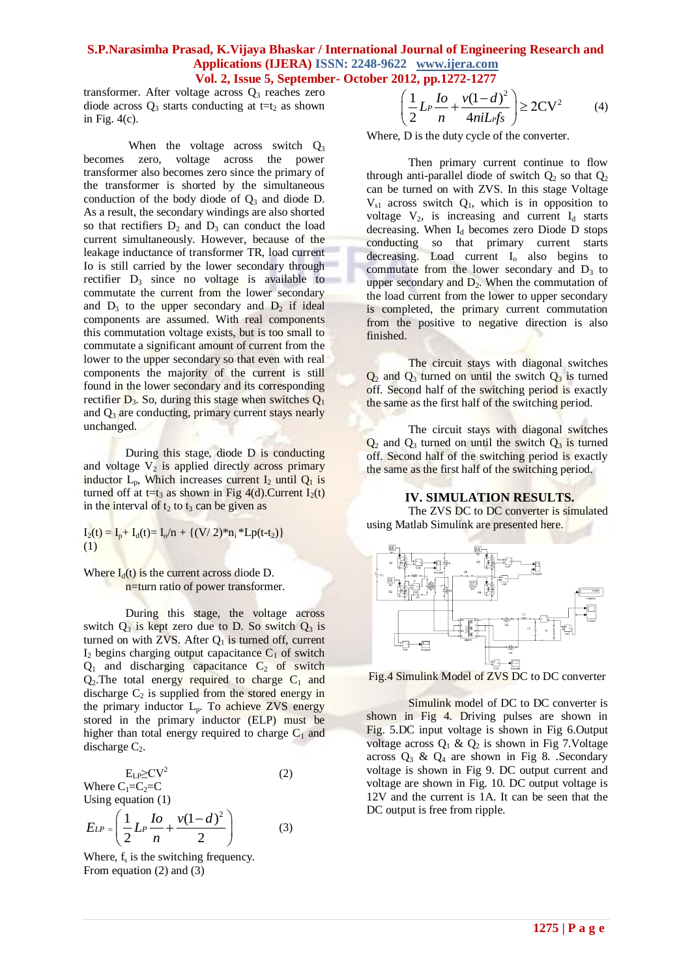## **S.P.Narasimha Prasad, K.Vijaya Bhaskar / International Journal of Engineering Research and Applications (IJERA) ISSN: 2248-9622 www.ijera.com**

**Vol. 2, Issue 5, September- October 2012, pp.1272-1277**<br>age across  $Q_3$  reaches zero<br>conducting at t=t<sub>2</sub> as shown  $\left(\frac{1}{2}L_P\frac{I_0}{r}+\frac{v(1-d)^2}{r}\right) \geq 20$ transformer. After voltage across  $Q_3$  reaches zero diode across  $Q_3$  starts conducting at t=t<sub>2</sub> as shown in Fig.  $4(c)$ .

When the voltage across switch  $Q_3$ becomes zero, voltage across the power transformer also becomes zero since the primary of the transformer is shorted by the simultaneous conduction of the body diode of  $Q_3$  and diode D. As a result, the secondary windings are also shorted so that rectifiers  $D_2$  and  $D_3$  can conduct the load current simultaneously. However, because of the leakage inductance of transformer TR, load current Io is still carried by the lower secondary through rectifier  $D_3$  since no voltage is available to commutate the current from the lower secondary and  $D_3$  to the upper secondary and  $D_2$  if ideal components are assumed. With real components this commutation voltage exists, but is too small to commutate a significant amount of current from the lower to the upper secondary so that even with real components the majority of the current is still found in the lower secondary and its corresponding rectifier  $D_3$ . So, during this stage when switches  $Q_1$ and  $Q_3$  are conducting, primary current stays nearly unchanged.

During this stage, diode D is conducting and voltage  $V_2$  is applied directly across primary inductor  $L_p$ , Which increases current  $I_2$  until  $Q_1$  is turned off at t=t<sub>3</sub> as shown in Fig 4(d).Current  $I_2(t)$ in the interval of  $t_2$  to  $t_3$  can be given as

 $I_2(t) = I_p + I_d(t) = I_o/n + \{(V/2)^*n_i * Lp(t-t_2)\}$ (1)

Where  $I_d(t)$  is the current across diode D. n=turn ratio of power transformer.

During this stage, the voltage across switch  $Q_3$  is kept zero due to D. So switch  $Q_3$  is turned on with ZVS. After  $Q_1$  is turned off, current  $I_2$  begins charging output capacitance  $C_1$  of switch  $Q_1$  and discharging capacitance  $C_2$  of switch  $Q_2$ . The total energy required to charge  $C_1$  and discharge  $C_2$  is supplied from the stored energy in the primary inductor  $L_p$ . To achieve ZVS energy stored in the primary inductor (ELP) must be higher than total energy required to charge  $C_1$  and discharge  $C_2$ .

 $E_{LP} \geq CV^2$  (2) Where  $C_1=C_2=C$ Using equation (1)

$$
E_{LP} = \left(\frac{1}{2} L_P \frac{I_0}{n} + \frac{v(1-d)^2}{2}\right)
$$
 (3)

Where,  $f_s$  is the switching frequency. From equation (2) and (3)

$$
\left(\frac{1}{2}L_P \frac{I_0}{n} + \frac{v(1-d)^2}{4n iL_f f_S}\right) \ge 2CV^2 \tag{4}
$$

Where, D is the duty cycle of the converter.

Then primary current continue to flow through anti-parallel diode of switch  $Q_2$  so that  $Q_2$ can be turned on with ZVS. In this stage Voltage  $V_{s1}$  across switch  $Q_1$ , which is in opposition to voltage  $V_2$ , is increasing and current  $I_d$  starts decreasing. When  $I_d$  becomes zero Diode D stops conducting so that primary current starts decreasing. Load current  $I_0$  also begins to commutate from the lower secondary and  $D_3$  to upper secondary and  $D_2$ . When the commutation of the load current from the lower to upper secondary is completed, the primary current commutation from the positive to negative direction is also finished.

The circuit stays with diagonal switches  $Q_2$  and  $Q_3$  turned on until the switch  $Q_3$  is turned off. Second half of the switching period is exactly the same as the first half of the switching period.

The circuit stays with diagonal switches  $Q_2$  and  $Q_3$  turned on until the switch  $Q_3$  is turned off. Second half of the switching period is exactly the same as the first half of the switching period.

**IV. SIMULATION RESULTS.**



Fig.4 Simulink Model of ZVS DC to DC converter

Simulink model of DC to DC converter is shown in Fig 4. Driving pulses are shown in Fig. 5.DC input voltage is shown in Fig 6.Output voltage across  $Q_1 \& Q_2$  is shown in Fig 7. Voltage across  $Q_3$  &  $Q_4$  are shown in Fig 8. .Secondary voltage is shown in Fig 9. DC output current and voltage are shown in Fig. 10. DC output voltage is 12V and the current is 1A. It can be seen that the DC output is free from ripple.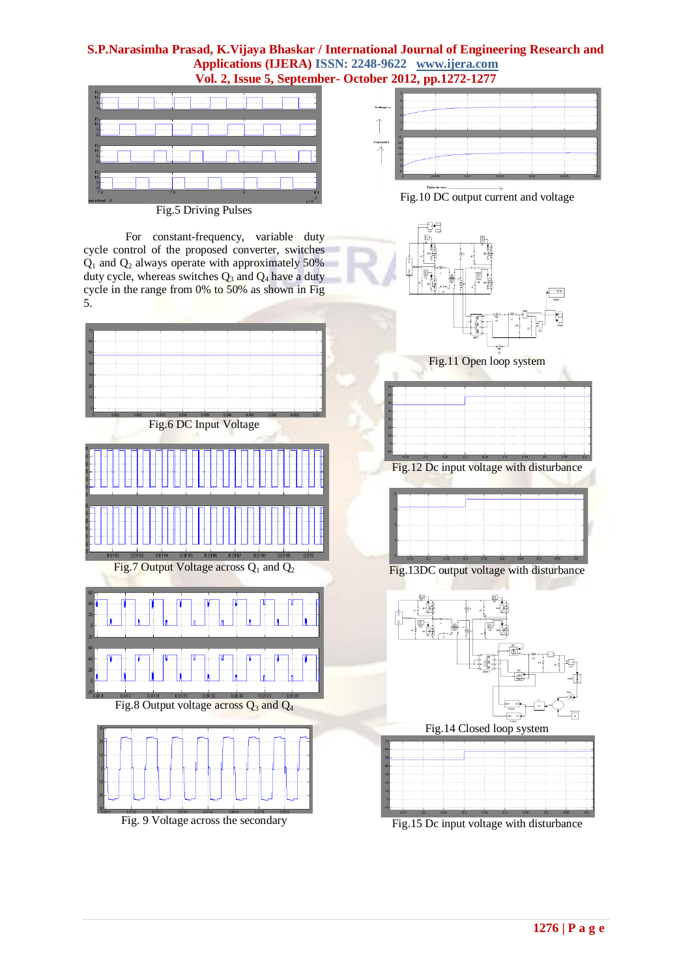

Fig.5 Driving Pulses

For constant-frequency, variable duty cycle control of the proposed converter, switches  $Q_1$  and  $Q_2$  always operate with approximately 50% duty cycle, whereas switches  $Q_3$  and  $Q_4$  have a duty cycle in the range from 0% to 50% as shown in Fig 5.



Fig. 9 Voltage across the secondary



Fig.10 DC output current and voltage